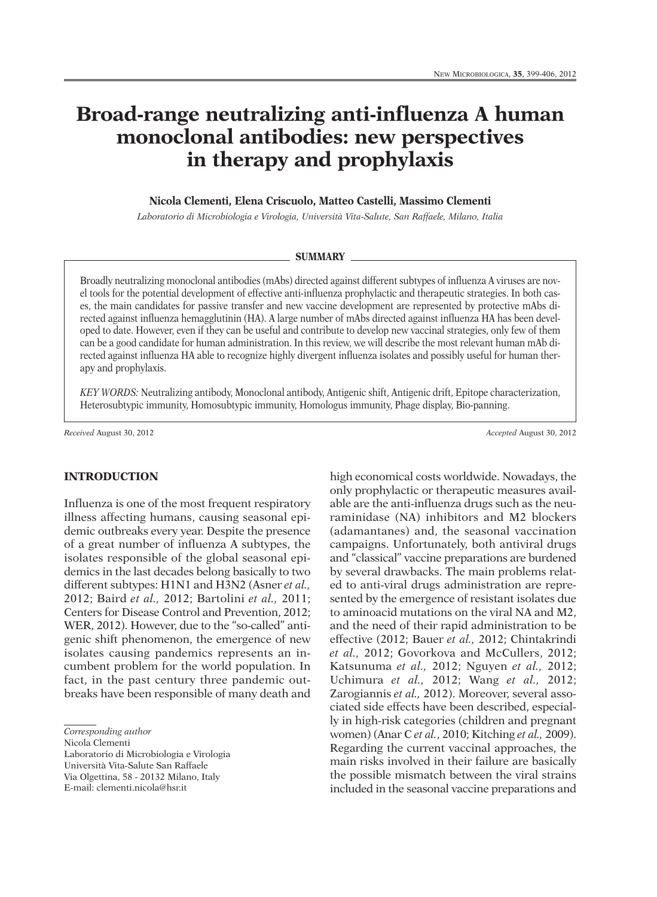# **Broad-range neutralizing anti-influenza A human monoclonal antibodies: new perspectives in therapy and prophylaxis**

#### **Nicola Clementi, Elena Criscuolo, Matteo Castelli, Massimo Clementi**

*Laboratorio di Microbiologia e Virologia, Università Vita-Salute, San Raffaele, Milano, Italia*

#### **SUMMARY**

Broadly neutralizing monoclonal antibodies (mAbs) directed against different subtypes of influenza A viruses are novel tools for the potential development of effective anti-influenza prophylactic and therapeutic strategies. In both cases, the main candidates for passive transfer and new vaccine development are represented by protective mAbs directed against influenza hemagglutinin (HA). A large number of mAbs directed against influenza HA has been developed to date. However, even if they can be useful and contribute to develop new vaccinal strategies, only few of them can be a good candidate for human administration. In this review, we will describe the most relevant human mAb directed against influenza HA able to recognize highly divergent influenza isolates and possibly useful for human therapy and prophylaxis.

*KEY WORDS:* Neutralizing antibody, Monoclonal antibody, Antigenic shift, Antigenic drift, Epitope characterization, Heterosubtypic immunity, Homosubtypic immunity, Homologus immunity, Phage display, Bio-panning.

*Received* August 30, 2012 *Accepted* August 30, 2012

# **INTRODUCTION**

Influenza is one of the most frequent respiratory illness affecting humans, causing seasonal epidemic outbreaks every year. Despite the presence of a great number of influenza A subtypes, the isolates responsible of the global seasonal epidemics in the last decades belong basically to two different subtypes: H1N1 and H3N2 (Asner *et al.,* 2012; Baird *et al.,* 2012; Bartolini *et al.,* 2011; Centers for Disease Control and Prevention, 2012; WER, 2012). However, due to the "so-called" antigenic shift phenomenon, the emergence of new isolates causing pandemics represents an incumbent problem for the world population. In fact, in the past century three pandemic outbreaks have been responsible of many death and

Nicola Clementi

Laboratorio di Microbiologia e Virologia

Università Vita-Salute San Raffaele

Via Olgettina, 58 - 20132 Milano, Italy E-mail: clementi.nicola@hsr.it

high economical costs worldwide. Nowadays, the only prophylactic or therapeutic measures available are the anti-influenza drugs such as the neuraminidase (NA) inhibitors and M2 blockers (adamantanes) and, the seasonal vaccination campaigns. Unfortunately, both antiviral drugs and "classical" vaccine preparations are burdened by several drawbacks. The main problems related to anti-viral drugs administration are represented by the emergence of resistant isolates due to aminoacid mutations on the viral NA and M2, and the need of their rapid administration to be effective (2012; Bauer *et al.,* 2012; Chintakrindi *et al.,* 2012; Govorkova and McCullers, 2012; Katsunuma *et al.,* 2012; Nguyen *et al.,* 2012; Uchimura *et al.,* 2012; Wang *et al.,* 2012; Zarogiannis *et al.,* 2012). Moreover, several associated side effects have been described, especially in high-risk categories (children and pregnant women) (Anar C *et al.*, 2010; Kitching *et al.,* 2009). Regarding the current vaccinal approaches, the main risks involved in their failure are basically the possible mismatch between the viral strains included in the seasonal vaccine preparations and

*Corresponding author*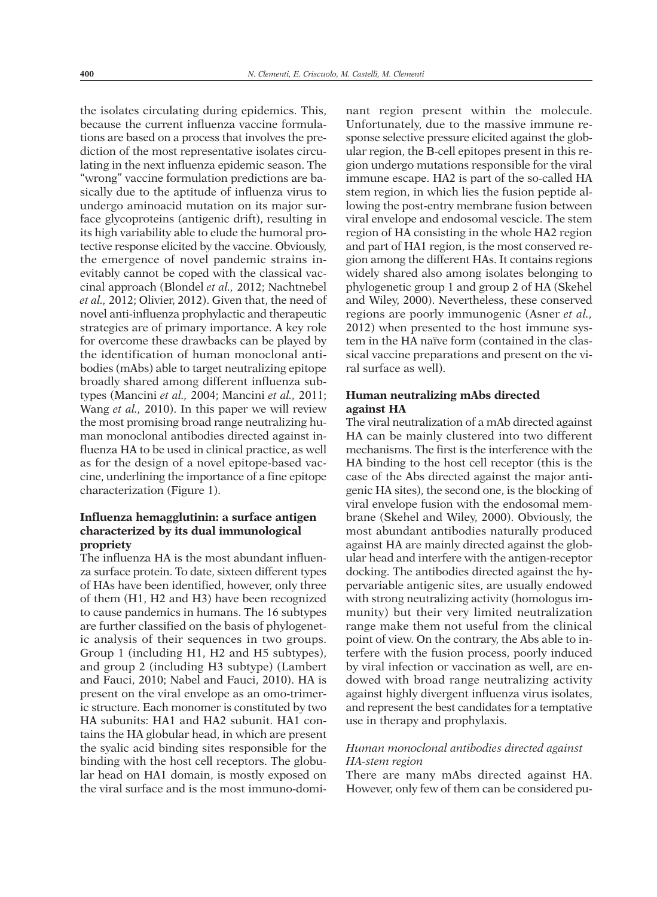the isolates circulating during epidemics. This, because the current influenza vaccine formulations are based on a process that involves the prediction of the most representative isolates circulating in the next influenza epidemic season. The "wrong" vaccine formulation predictions are basically due to the aptitude of influenza virus to undergo aminoacid mutation on its major surface glycoproteins (antigenic drift), resulting in its high variability able to elude the humoral protective response elicited by the vaccine. Obviously, the emergence of novel pandemic strains inevitably cannot be coped with the classical vaccinal approach (Blondel *et al.,* 2012; Nachtnebel *et al.,* 2012; Olivier, 2012). Given that, the need of novel anti-influenza prophylactic and therapeutic strategies are of primary importance. A key role for overcome these drawbacks can be played by the identification of human monoclonal antibodies (mAbs) able to target neutralizing epitope broadly shared among different influenza subtypes (Mancini *et al.,* 2004; Mancini *et al.,* 2011; Wang *et al.,* 2010). In this paper we will review the most promising broad range neutralizing human monoclonal antibodies directed against influenza HA to be used in clinical practice, as well as for the design of a novel epitope-based vaccine, underlining the importance of a fine epitope characterization (Figure 1).

# **Influenza hemagglutinin: a surface antigen characterized by its dual immunological propriety**

The influenza HA is the most abundant influenza surface protein. To date, sixteen different types of HAs have been identified, however, only three of them (H1, H2 and H3) have been recognized to cause pandemics in humans. The 16 subtypes are further classified on the basis of phylogenetic analysis of their sequences in two groups. Group 1 (including H1, H2 and H5 subtypes), and group 2 (including H3 subtype) (Lambert and Fauci, 2010; Nabel and Fauci, 2010). HA is present on the viral envelope as an omo-trimeric structure. Each monomer is constituted by two HA subunits: HA1 and HA2 subunit. HA1 contains the HA globular head, in which are present the syalic acid binding sites responsible for the binding with the host cell receptors. The globular head on HA1 domain, is mostly exposed on the viral surface and is the most immuno-domi-

nant region present within the molecule. Unfortunately, due to the massive immune response selective pressure elicited against the globular region, the B-cell epitopes present in this region undergo mutations responsible for the viral immune escape. HA2 is part of the so-called HA stem region, in which lies the fusion peptide allowing the post-entry membrane fusion between viral envelope and endosomal vescicle. The stem region of HA consisting in the whole HA2 region and part of HA1 region, is the most conserved region among the different HAs. It contains regions widely shared also among isolates belonging to phylogenetic group 1 and group 2 of HA (Skehel and Wiley, 2000). Nevertheless, these conserved regions are poorly immunogenic (Asner *et al.,* 2012) when presented to the host immune system in the HA naïve form (contained in the classical vaccine preparations and present on the viral surface as well).

# **Human neutralizing mAbs directed against HA**

The viral neutralization of a mAb directed against HA can be mainly clustered into two different mechanisms. The first is the interference with the HA binding to the host cell receptor (this is the case of the Abs directed against the major antigenic HA sites), the second one, is the blocking of viral envelope fusion with the endosomal membrane (Skehel and Wiley, 2000). Obviously, the most abundant antibodies naturally produced against HA are mainly directed against the globular head and interfere with the antigen-receptor docking. The antibodies directed against the hypervariable antigenic sites, are usually endowed with strong neutralizing activity (homologus immunity) but their very limited neutralization range make them not useful from the clinical point of view. On the contrary, the Abs able to interfere with the fusion process, poorly induced by viral infection or vaccination as well, are endowed with broad range neutralizing activity against highly divergent influenza virus isolates, and represent the best candidates for a temptative use in therapy and prophylaxis.

# *Human monoclonal antibodies directed against HA-stem region*

There are many mAbs directed against HA. However, only few of them can be considered pu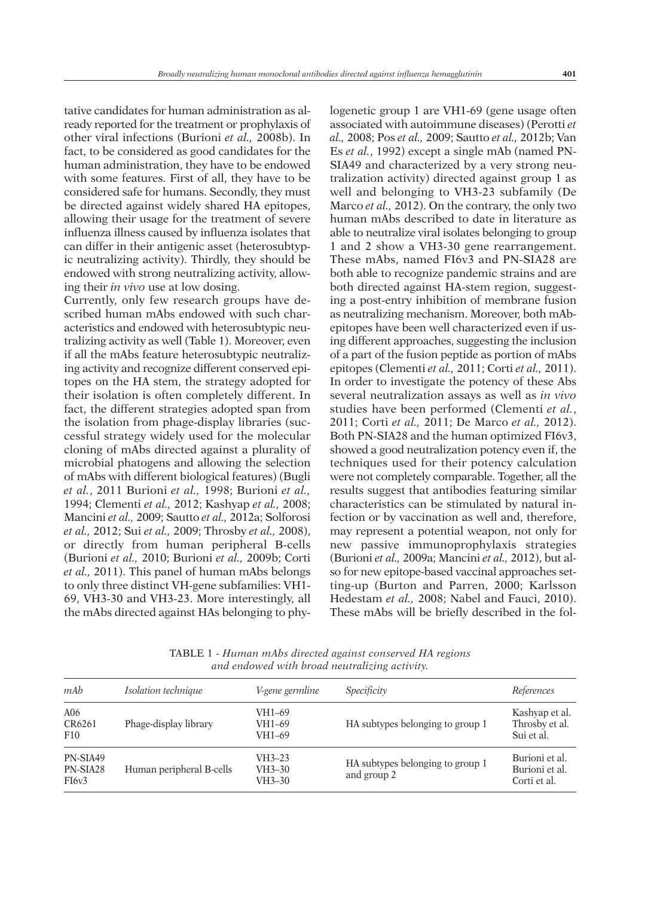tative candidates for human administration as already reported for the treatment or prophylaxis of other viral infections (Burioni *et al.,* 2008b). In fact, to be considered as good candidates for the human administration, they have to be endowed with some features. First of all, they have to be considered safe for humans. Secondly, they must be directed against widely shared HA epitopes, allowing their usage for the treatment of severe influenza illness caused by influenza isolates that can differ in their antigenic asset (heterosubtypic neutralizing activity). Thirdly, they should be endowed with strong neutralizing activity, allowing their *in vivo* use at low dosing.

Currently, only few research groups have described human mAbs endowed with such characteristics and endowed with heterosubtypic neutralizing activity as well (Table 1). Moreover, even if all the mAbs feature heterosubtypic neutralizing activity and recognize different conserved epitopes on the HA stem, the strategy adopted for their isolation is often completely different. In fact, the different strategies adopted span from the isolation from phage-display libraries (successful strategy widely used for the molecular cloning of mAbs directed against a plurality of microbial phatogens and allowing the selection of mAbs with different biological features) (Bugli *et al.*, 2011 Burioni *et al.,* 1998; Burioni *et al.,* 1994; Clementi *et al.,* 2012; Kashyap *et al.,* 2008; Mancini *et al.,* 2009; Sautto *et al.,* 2012a; Solforosi *et al.,* 2012; Sui *et al.,* 2009; Throsby *et al.,* 2008), or directly from human peripheral B-cells (Burioni *et al.,* 2010; Burioni *et al.,* 2009b; Corti *et al.,* 2011). This panel of human mAbs belongs to only three distinct VH-gene subfamilies: VH1- 69, VH3-30 and VH3-23. More interestingly, all the mAbs directed against HAs belonging to phy-

logenetic group 1 are VH1-69 (gene usage often associated with autoimmune diseases) (Perotti *et al.,* 2008; Pos *et al.,* 2009; Sautto *et al.,* 2012b; Van Es *et al.*, 1992) except a single mAb (named PN-SIA49 and characterized by a very strong neutralization activity) directed against group 1 as well and belonging to VH3-23 subfamily (De Marco *et al.,* 2012). On the contrary, the only two human mAbs described to date in literature as able to neutralize viral isolates belonging to group 1 and 2 show a VH3-30 gene rearrangement. These mAbs, named FI6v3 and PN-SIA28 are both able to recognize pandemic strains and are both directed against HA-stem region, suggesting a post-entry inhibition of membrane fusion as neutralizing mechanism. Moreover, both mAbepitopes have been well characterized even if using different approaches, suggesting the inclusion of a part of the fusion peptide as portion of mAbs epitopes (Clementi *et al.,* 2011; Corti *et al.,* 2011). In order to investigate the potency of these Abs several neutralization assays as well as *in vivo* studies have been performed (Clementi *et al.*, 2011; Corti *et al.,* 2011; De Marco *et al.,* 2012). Both PN-SIA28 and the human optimized FI6v3, showed a good neutralization potency even if, the techniques used for their potency calculation were not completely comparable. Together, all the results suggest that antibodies featuring similar characteristics can be stimulated by natural infection or by vaccination as well and, therefore, may represent a potential weapon, not only for new passive immunoprophylaxis strategies (Burioni *et al.,* 2009a; Mancini *et al.,* 2012), but also for new epitope-based vaccinal approaches setting-up (Burton and Parren, 2000; Karlsson Hedestam *et al.,* 2008; Nabel and Fauci, 2010). These mAbs will be briefly described in the fol-

| mAb                                        | Isolation technique      | V-gene germline                  | Specificity                                     | References                                       |
|--------------------------------------------|--------------------------|----------------------------------|-------------------------------------------------|--------------------------------------------------|
| A06<br>CR6261<br>F10                       | Phage-display library    | VH1-69<br>VH1-69<br>VH1-69       | HA subtypes belonging to group 1                | Kashyap et al.<br>Throsby et al.<br>Sui et al.   |
| PN-SIA49<br>PN-SIA28<br>FI <sub>6v</sub> 3 | Human peripheral B-cells | $VH3-23$<br>$VH3-30$<br>$VH3-30$ | HA subtypes belonging to group 1<br>and group 2 | Burioni et al.<br>Burioni et al.<br>Corti et al. |

TABLE 1 - *Human mAbs directed against conserved HA regions and endowed with broad neutralizing activity.*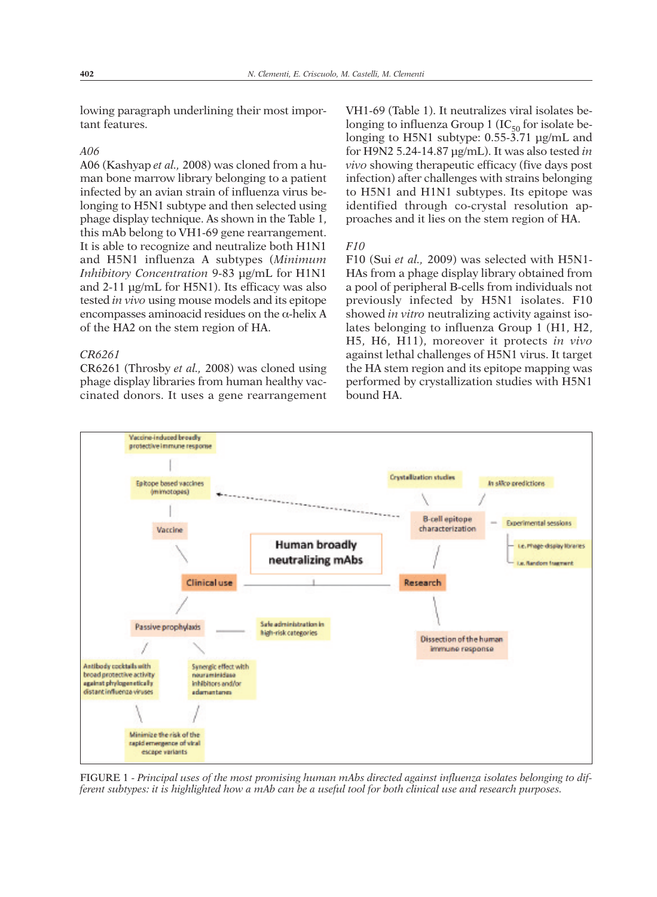lowing paragraph underlining their most important features.

## *A06*

A06 (Kashyap *et al.,* 2008) was cloned from a human bone marrow library belonging to a patient infected by an avian strain of influenza virus belonging to H5N1 subtype and then selected using phage display technique. As shown in the Table 1, this mAb belong to VH1-69 gene rearrangement. It is able to recognize and neutralize both H1N1 and H5N1 influenza A subtypes (*Minimum Inhibitory Concentration* 9-83 µg/mL for H1N1 and 2-11 µg/mL for H5N1). Its efficacy was also tested *in vivo* using mouse models and its epitope encompasses aminoacid residues on the  $\alpha$ -helix A of the HA2 on the stem region of HA.

### *CR6261*

CR6261 (Throsby *et al.,* 2008) was cloned using phage display libraries from human healthy vaccinated donors. It uses a gene rearrangement

VH1-69 (Table 1). It neutralizes viral isolates belonging to influenza Group 1 (IC $_{50}$  for isolate belonging to H5N1 subtype: 0.55-3.71 µg/mL and for H9N2 5.24-14.87 µg/mL). It was also tested *in vivo* showing therapeutic efficacy (five days post infection) after challenges with strains belonging to H5N1 and H1N1 subtypes. Its epitope was identified through co-crystal resolution approaches and it lies on the stem region of HA.

#### *F10*

F10 (Sui *et al.,* 2009) was selected with H5N1- HAs from a phage display library obtained from a pool of peripheral B-cells from individuals not previously infected by H5N1 isolates. F10 showed *in vitro* neutralizing activity against isolates belonging to influenza Group 1 (H1, H2, H5, H6, H11), moreover it protects *in vivo* against lethal challenges of H5N1 virus. It target the HA stem region and its epitope mapping was performed by crystallization studies with H5N1 bound HA.



FIGURE 1 - *Principal uses of the most promising human mAbs directed against influenza isolates belonging to dif*ferent subtypes: it is highlighted how a mAb can be a useful tool for both clinical use and research purposes.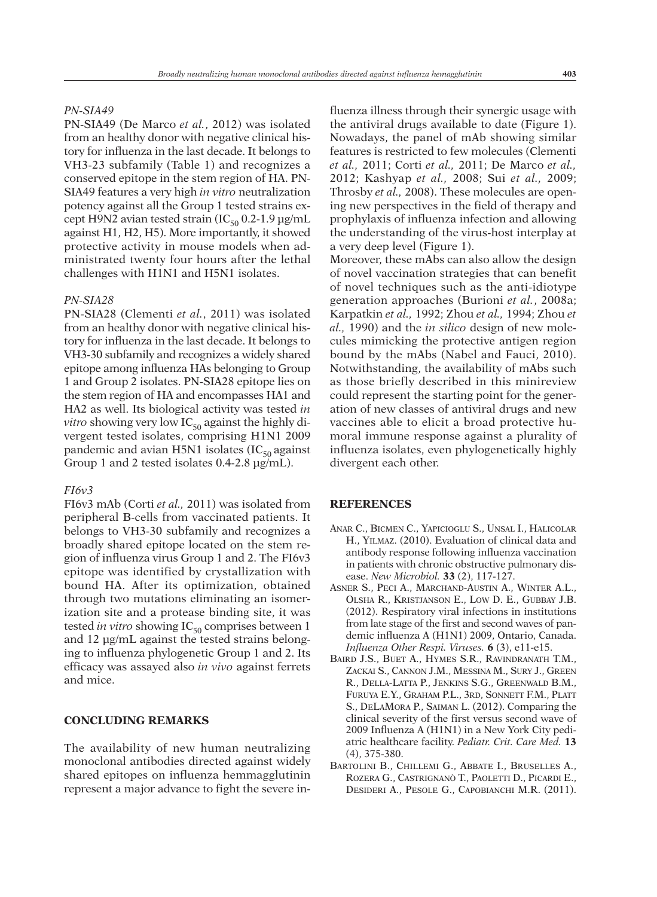#### *PN-SIA49*

PN-SIA49 (De Marco *et al.*, 2012) was isolated from an healthy donor with negative clinical history for influenza in the last decade. It belongs to VH3-23 subfamily (Table 1) and recognizes a conserved epitope in the stem region of HA. PN-SIA49 features a very high *in vitro* neutralization potency against all the Group 1 tested strains except H9N2 avian tested strain ( $IC_{50}$  0.2-1.9  $\mu$ g/mL against H1, H2, H5). More importantly, it showed protective activity in mouse models when administrated twenty four hours after the lethal challenges with H1N1 and H5N1 isolates.

# *PN-SIA28*

PN-SIA28 (Clementi *et al.*, 2011) was isolated from an healthy donor with negative clinical history for influenza in the last decade. It belongs to VH3-30 subfamily and recognizes a widely shared epitope among influenza HAs belonging to Group 1 and Group 2 isolates. PN-SIA28 epitope lies on the stem region of HA and encompasses HA1 and HA2 as well. Its biological activity was tested *in vitro* showing very low  $IC_{50}$  against the highly divergent tested isolates, comprising H1N1 2009 pandemic and avian H5N1 isolates (IC $_{50}$  against Group 1 and 2 tested isolates 0.4-2.8 µg/mL).

#### *FI6v3*

FI6v3 mAb (Corti *et al.,* 2011) was isolated from peripheral B-cells from vaccinated patients. It belongs to VH3-30 subfamily and recognizes a broadly shared epitope located on the stem region of influenza virus Group 1 and 2. The FI6v3 epitope was identified by crystallization with bound HA. After its optimization, obtained through two mutations eliminating an isomerization site and a protease binding site, it was tested *in vitro* showing IC<sub>50</sub> comprises between 1 and 12 µg/mL against the tested strains belonging to influenza phylogenetic Group 1 and 2. Its efficacy was assayed also *in vivo* against ferrets and mice.

### **CONCLUDING REMARKS**

The availability of new human neutralizing monoclonal antibodies directed against widely shared epitopes on influenza hemmagglutinin represent a major advance to fight the severe in-

fluenza illness through their synergic usage with the antiviral drugs available to date (Figure 1). Nowadays, the panel of mAb showing similar features is restricted to few molecules (Clementi *et al.,* 2011; Corti *et al.,* 2011; De Marco *et al.,* 2012; Kashyap *et al.,* 2008; Sui *et al.,* 2009; Throsby *et al.,* 2008). These molecules are opening new perspectives in the field of therapy and prophylaxis of influenza infection and allowing the understanding of the virus-host interplay at a very deep level (Figure 1).

Moreover, these mAbs can also allow the design of novel vaccination strategies that can benefit of novel techniques such as the anti-idiotype generation approaches (Burioni *et al.*, 2008a; Karpatkin *et al.,* 1992; Zhou *et al.,* 1994; Zhou *et al.,* 1990) and the *in silico* design of new molecules mimicking the protective antigen region bound by the mAbs (Nabel and Fauci, 2010). Notwithstanding, the availability of mAbs such as those briefly described in this minireview could represent the starting point for the generation of new classes of antiviral drugs and new vaccines able to elicit a broad protective humoral immune response against a plurality of influenza isolates, even phylogenetically highly divergent each other.

#### **REFERENCES**

- ANAR C., BICMEN C., YAPICIOGLU S., UNSAL I., HALICOLAR H., YILMAZ. (2010). Evaluation of clinical data and antibody response following influenza vaccination in patients with chronic obstructive pulmonary disease. *New Microbiol.* **33** (2), 117-127.
- ASNER S., PECI A., MARCHAND-AUSTIN A., WINTER A.L., OLSHA R., KRISTJANSON E., LOW D. E., GUBBAY J.B. (2012). Respiratory viral infections in institutions from late stage of the first and second waves of pandemic influenza A (H1N1) 2009, Ontario, Canada. *Influenza Other Respi. Viruses.* **6** (3), e11-e15.
- BAIRD J.S., BUET A., HYMES S.R., RAVINDRANATH T.M., ZACKAI S., CANNON J.M., MESSINA M., SURY J., GREEN R., DELLA-LATTA P., JENKINS S.G., GREENWALD B.M., FURUYA E.Y., GRAHAM P.L., 3RD, SONNETT F.M., PLATT S., DELAMORA P., SAIMAN L. (2012). Comparing the clinical severity of the first versus second wave of 2009 Influenza A (H1N1) in a New York City pediatric healthcare facility. *Pediatr. Crit. Care Med.* **13** (4), 375-380.
- BARTOLINI B., CHILLEMI G., ABBATE I., BRUSELLES A., ROZERA G., CASTRIGNANÒ T., PAOLETTI D., PICARDI E., DESIDERI A., PESOLE G., CAPOBIANCHI M.R. (2011).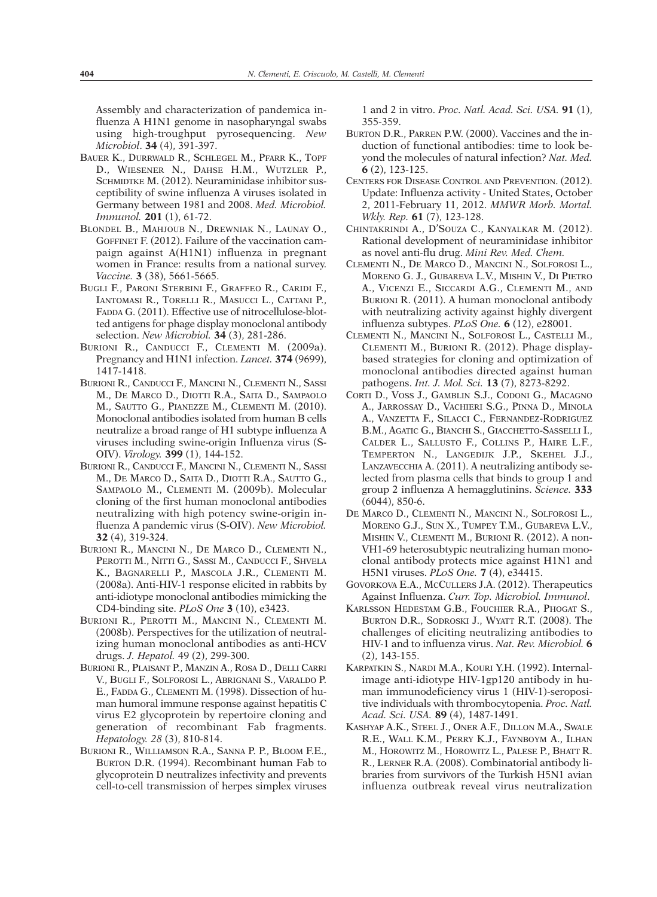Assembly and characterization of pandemica influenza A H1N1 genome in nasopharyngal swabs using high-troughput pyrosequencing. *New Microbiol*. **34** (4), 391-397.

- BAUER K., DURRWALD R., SCHLEGEL M., PFARR K., TOPF D., WIESENER N., DAHSE H.M., WUTZLER P., SCHMIDTKE M. (2012). Neuraminidase inhibitor susceptibility of swine influenza A viruses isolated in Germany between 1981 and 2008. *Med. Microbiol. Immunol.* **201** (1), 61-72.
- BLONDEL B., MAHJOUB N., DREWNIAK N., LAUNAY O., GOFFINET F. (2012). Failure of the vaccination campaign against A(H1N1) influenza in pregnant women in France: results from a national survey. *Vaccine.* **3** (38), 5661-5665.
- BUGLI F., PARONI STERBINI F., GRAFFEO R., CARIDI F., IANTOMASI R., TORELLI R., MASUCCI L., CATTANI P., FADDA G. (2011). Effective use of nitrocellulose-blotted antigens for phage display monoclonal antibody selection. *New Microbiol.* **34** (3), 281-286.
- BURIONI R., CANDUCCI F., CLEMENTI M. (2009a). Pregnancy and H1N1 infection. *Lancet.* **374** (9699), 1417-1418.
- BURIONI R., CANDUCCI F., MANCINI N., CLEMENTI N., SASSI M., DE MARCO D., DIOTTI R.A., SAITA D., SAMPAOLO M., SAUTTO G., PIANEZZE M., CLEMENTI M. (2010). Monoclonal antibodies isolated from human B cells neutralize a broad range of H1 subtype influenza A viruses including swine-origin Influenza virus (S-OIV). *Virology.* **399** (1), 144-152.
- BURIONI R., CANDUCCI F., MANCINI N., CLEMENTI N., SASSI M., DE MARCO D., SAITA D., DIOTTI R.A., SAUTTO G., SAMPAOLO M., CLEMENTI M. (2009b). Molecular cloning of the first human monoclonal antibodies neutralizing with high potency swine-origin influenza A pandemic virus (S-OIV). *New Microbiol.* **32** (4), 319-324.
- BURIONI R., MANCINI N., DE MARCO D., CLEMENTI N., PEROTTI M., NITTI G., SASSI M., CANDUCCI F., SHVELA K., BAGNARELLI P., MASCOLA J.R., CLEMENTI M. (2008a). Anti-HIV-1 response elicited in rabbits by anti-idiotype monoclonal antibodies mimicking the CD4-binding site. *PLoS One* **3** (10), e3423.
- BURIONI R., PEROTTI M., MANCINI N., CLEMENTI M. (2008b). Perspectives for the utilization of neutralizing human monoclonal antibodies as anti-HCV drugs. *J. Hepatol.* 49 (2), 299-300.
- BURIONI R., PLAISANT P., MANZIN A., ROSA D., DELLI CARRI V., BUGLI F., SOLFOROSI L., ABRIGNANI S., VARALDO P. E., FADDA G., CLEMENTI M. (1998). Dissection of human humoral immune response against hepatitis C virus E2 glycoprotein by repertoire cloning and generation of recombinant Fab fragments. *Hepatology. 28* (3), 810-814.
- BURIONI R., WILLIAMSON R.A., SANNA P. P., BLOOM F.E., BURTON D.R. (1994). Recombinant human Fab to glycoprotein D neutralizes infectivity and prevents cell-to-cell transmission of herpes simplex viruses

1 and 2 in vitro. *Proc. Natl. Acad. Sci. USA.* **91** (1), 355-359.

- BURTON D.R., PARREN P.W. (2000). Vaccines and the induction of functional antibodies: time to look beyond the molecules of natural infection? *Nat. Med.* **6** (2), 123-125.
- CENTERS FOR DISEASE CONTROL AND PREVENTION. (2012). Update: Influenza activity - United States, October 2, 2011-February 11, 2012. *MMWR Morb. Mortal. Wkly. Rep.* **61** (7), 123-128.
- CHINTAKRINDI A., D'SOUZA C., KANYALKAR M. (2012). Rational development of neuraminidase inhibitor as novel anti-flu drug. *Mini Rev. Med. Chem.*
- CLEMENTI N., DE MARCO D., MANCINI N., SOLFOROSI L., MORENO G. J., GUBAREVA L.V., MISHIN V., DI PIETRO A., VICENZI E., SICCARDI A.G., CLEMENTI M., AND BURIONI R. (2011). A human monoclonal antibody with neutralizing activity against highly divergent influenza subtypes. *PLoS One.* **6** (12), e28001.
- CLEMENTI N., MANCINI N., SOLFOROSI L., CASTELLI M., CLEMENTI M., BURIONI R. (2012). Phage displaybased strategies for cloning and optimization of monoclonal antibodies directed against human pathogens. *Int. J. Mol. Sci.* **13** (7), 8273-8292.
- CORTI D., VOSS J., GAMBLIN S.J., CODONI G., MACAGNO A., JARROSSAY D., VACHIERI S.G., PINNA D., MINOLA A., VANZETTA F., SILACCI C., FERNANDEZ-RODRIGUEZ B.M., AGATIC G., BIANCHI S., GIACCHETTO-SASSELLI I., CALDER L., SALLUSTO F., COLLINS P., HAIRE L.F., TEMPERTON N., LANGEDIJK J.P., SKEHEL J.J., LANZAVECCHIA A. (2011). A neutralizing antibody selected from plasma cells that binds to group 1 and group 2 influenza A hemagglutinins. *Science.* **333** (6044), 850-6.
- DE MARCO D., CLEMENTI N., MANCINI N., SOLFOROSI L., MORENO G.J., SUN X., TUMPEY T.M., GUBAREVA L.V., MISHIN V., CLEMENTI M., BURIONI R. (2012). A non-VH1-69 heterosubtypic neutralizing human monoclonal antibody protects mice against H1N1 and H5N1 viruses. *PLoS One.* **7** (4), e34415.
- GOVORKOVA E.A., MCCULLERS J.A. (2012). Therapeutics Against Influenza. *Curr. Top. Microbiol. Immunol*.
- KARLSSON HEDESTAM G.B., FOUCHIER R.A., PHOGAT S., BURTON D.R., SODROSKI J., WYATT R.T. (2008). The challenges of eliciting neutralizing antibodies to HIV-1 and to influenza virus. *Nat. Rev. Microbiol.* **6** (2), 143-155.
- KARPATKIN S., NARDI M.A., KOURI Y.H. (1992). Internalimage anti-idiotype HIV-1gp120 antibody in human immunodeficiency virus 1 (HIV-1)-seropositive individuals with thrombocytopenia. *Proc. Natl. Acad. Sci. USA.* **89** (4), 1487-1491.
- KASHYAP A.K., STEEL J., ONER A.F., DILLON M.A., SWALE R.E., WALL K.M., PERRY K.J., FAYNBOYM A., ILHAN M., HOROWITZ M., HOROWITZ L., PALESE P., BHATT R. R., LERNER R.A. (2008). Combinatorial antibody libraries from survivors of the Turkish H5N1 avian influenza outbreak reveal virus neutralization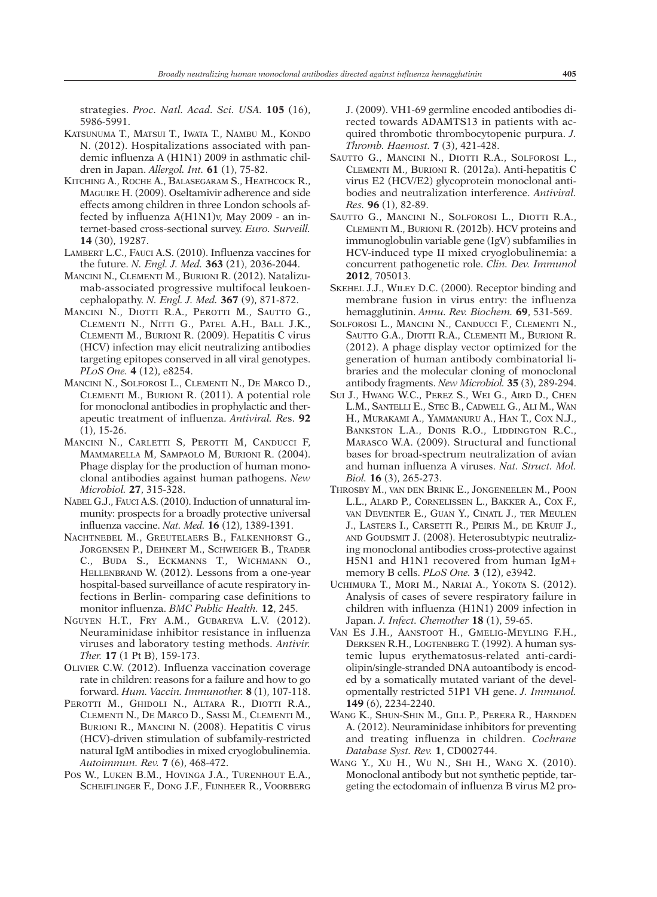strategies. *Proc. Natl. Acad. Sci. USA.* **105** (16), 5986-5991.

- KATSUNUMA T., MATSUI T., IWATA T., NAMBU M., KONDO N. (2012). Hospitalizations associated with pandemic influenza A (H1N1) 2009 in asthmatic children in Japan. *Allergol. Int.* **61** (1), 75-82.
- KITCHING A., ROCHE A., BALASEGARAM S., HEATHCOCK R., MAGUIRE H. (2009). Oseltamivir adherence and side effects among children in three London schools affected by influenza A(H1N1)v, May 2009 - an internet-based cross-sectional survey. *Euro. Surveill.* **14** (30), 19287.
- LAMBERT L.C., FAUCI A.S. (2010). Influenza vaccines for the future. *N. Engl. J. Med.* **363** (21), 2036-2044.
- MANCINI N., CLEMENTI M., BURIONI R. (2012). Natalizumab-associated progressive multifocal leukoencephalopathy. *N. Engl. J. Med.* **367** (9), 871-872.
- MANCINI N., DIOTTI R.A., PEROTTI M., SAUTTO G., CLEMENTI N., NITTI G., PATEL A.H., BALL J.K., CLEMENTI M., BURIONI R. (2009). Hepatitis C virus (HCV) infection may elicit neutralizing antibodies targeting epitopes conserved in all viral genotypes. *PLoS One.* **4** (12), e8254.
- MANCINI N., SOLFOROSI L., CLEMENTI N., DE MARCO D., CLEMENTI M., BURIONI R. (2011). A potential role for monoclonal antibodies in prophylactic and therapeutic treatment of influenza. *Antiviral. Re*s. **92** (1), 15-26.
- MANCINI N., CARLETTI S, PEROTTI M, CANDUCCI F, MAMMARELLA M, SAMPAOLO M, BURIONI R. (2004). Phage display for the production of human monoclonal antibodies against human pathogens. *New Microbiol.* **27**, 315-328.
- NABEL G.J., FAUCI A.S. (2010). Induction of unnatural immunity: prospects for a broadly protective universal influenza vaccine. *Nat. Med.* **16** (12), 1389-1391.
- NACHTNEBEL M., GREUTELAERS B., FALKENHORST G., JORGENSEN P., DEHNERT M., SCHWEIGER B., TRADER C., BUDA S., ECKMANNS T., WICHMANN O., HELLENBRAND W. (2012). Lessons from a one-year hospital-based surveillance of acute respiratory infections in Berlin- comparing case definitions to monitor influenza. *BMC Public Health.* **12**, 245.
- NGUYEN H.T., FRY A.M., GUBAREVA L.V. (2012). Neuraminidase inhibitor resistance in influenza viruses and laboratory testing methods. *Antivir. Ther.* **17** (1 Pt B), 159-173.
- OLIVIER C.W. (2012). Influenza vaccination coverage rate in children: reasons for a failure and how to go forward. *Hum. Vaccin. Immunother.* **8** (1), 107-118.
- PEROTTI M., GHIDOLI N., ALTARA R., DIOTTI R.A., CLEMENTI N., DE MARCO D., SASSI M., CLEMENTI M., BURIONI R., MANCINI N. (2008). Hepatitis C virus (HCV)-driven stimulation of subfamily-restricted natural IgM antibodies in mixed cryoglobulinemia. *Autoimmun. Rev.* **7** (6), 468-472.
- POS W., LUKEN B.M., HOVINGA J.A., TURENHOUT E.A., SCHEIFLINGER F., DONG J.F., FIJNHEER R., VOORBERG

J. (2009). VH1-69 germline encoded antibodies directed towards ADAMTS13 in patients with acquired thrombotic thrombocytopenic purpura. *J. Thromb. Haemost.* **7** (3), 421-428.

- SAUTTO G., MANCINI N., DIOTTI R.A., SOLFOROSI L., CLEMENTI M., BURIONI R. (2012a). Anti-hepatitis C virus E2 (HCV/E2) glycoprotein monoclonal antibodies and neutralization interference. *Antiviral. Res.* **96** (1), 82-89.
- SAUTTO G., MANCINI N., SOLFOROSI L., DIOTTI R.A., CLEMENTI M., BURIONI R. (2012b). HCV proteins and immunoglobulin variable gene (IgV) subfamilies in HCV-induced type II mixed cryoglobulinemia: a concurrent pathogenetic role. *Clin. Dev. Immunol* **2012**, 705013.
- SKEHEL J.J., WILEY D.C. (2000). Receptor binding and membrane fusion in virus entry: the influenza hemagglutinin. *Annu. Rev. Biochem.* **69**, 531-569.
- SOLFOROSI L., MANCINI N., CANDUCCI F., CLEMENTI N., SAUTTO G.A., DIOTTI R.A., CLEMENTI M., BURIONI R. (2012). A phage display vector optimized for the generation of human antibody combinatorial libraries and the molecular cloning of monoclonal antibody fragments. *New Microbiol.* **35** (3), 289-294.
- SUI J., HWANG W.C., PEREZ S., WEI G., AIRD D., CHEN L.M., SANTELLI E., STEC B., CADWELL G., ALI M., WAN H., MURAKAMI A., YAMMANURU A., HAN T., COX N.J., BANKSTON L.A., DONIS R.O., LIDDINGTON R.C., MARASCO W.A. (2009). Structural and functional bases for broad-spectrum neutralization of avian and human influenza A viruses. *Nat. Struct. Mol. Biol.* **16** (3), 265-273.
- THROSBY M., VAN DEN BRINK E., JONGENEELEN M., POON L.L., ALARD P., CORNELISSEN L., BAKKER A., COX F., VAN DEVENTER E., GUAN Y., CINATL J., TER MEULEN J., LASTERS I., CARSETTI R., PEIRIS M., DE KRUIF J., AND GOUDSMIT J. (2008). Heterosubtypic neutralizing monoclonal antibodies cross-protective against H5N1 and H1N1 recovered from human IgM+ memory B cells. *PLoS One.* **3** (12), e3942.
- UCHIMURA T., MORI M., NARIAI A., YOKOTA S. (2012). Analysis of cases of severe respiratory failure in children with influenza (H1N1) 2009 infection in Japan. *J. Infect. Chemother* **18** (1), 59-65.
- VAN ES J.H., AANSTOOT H., GMELIG-MEYLING F.H., DERKSEN R.H., LOGTENBERG T. (1992). A human systemic lupus erythematosus-related anti-cardiolipin/single-stranded DNA autoantibody is encoded by a somatically mutated variant of the developmentally restricted 51P1 VH gene. *J. Immunol.* **149** (6), 2234-2240.
- WANG K., SHUN-SHIN M., GILL P., PERERA R., HARNDEN A. (2012). Neuraminidase inhibitors for preventing and treating influenza in children. *Cochrane Database Syst. Rev.* **1**, CD002744.
- WANG Y., XU H., WU N., SHI H., WANG X. (2010). Monoclonal antibody but not synthetic peptide, targeting the ectodomain of influenza B virus M2 pro-